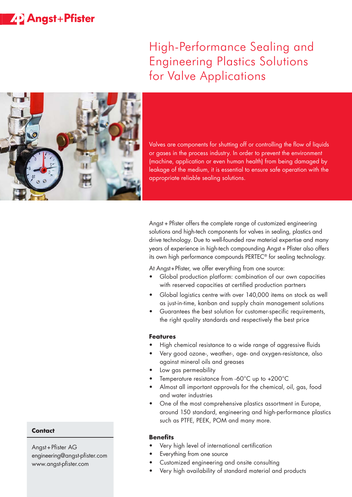## **ZD** Angst+Pfister

# High-Performance Sealing and Engineering Plastics Solutions for Valve Applications



Valves are components for shutting off or controlling the flow of liquids or gases in the process industry. In order to prevent the environment (machine, application or even human health) from being damaged by leakage of the medium, it is essential to ensure safe operation with the appropriate reliable sealing solutions.

Angst + Pfister offers the complete range of customized engineering solutions and high-tech components for valves in sealing, plastics and drive technology. Due to well-founded raw material expertise and many years of experience in high-tech compounding Angst + Pfister also offers its own high performance compounds PERTEC® for sealing technology.

At Angst+Pfister, we offer everything from one source:

- Global production platform: combination of our own capacities with reserved capacities at certified production partners
- Global logistics centre with over 140,000 items on stock as well as just-in-time, kanban and supply chain management solutions
- Guarantees the best solution for customer-specific requirements, the right quality standards and respectively the best price

#### **Features**

- High chemical resistance to a wide range of aggressive fluids
- Very good ozone-, weather-, age- and oxygen-resistance, also against mineral oils and greases
- Low gas permeability
- Temperature resistance from -60°C up to +200°C
- Almost all important approvals for the chemical, oil, gas, food and water industries
- One of the most comprehensive plastics assortment in Europe, around 150 standard, engineering and high-performance plastics such as PTFE, PEEK, POM and many more.

#### **Benefits**

- Very high level of international certification
- Everything from one source
- Customized engineering and onsite consulting
- Very high availability of standard material and products

#### **Contact**

Angst+Pfister AG engineering@angst-pfister.com www.angst-pfister.com